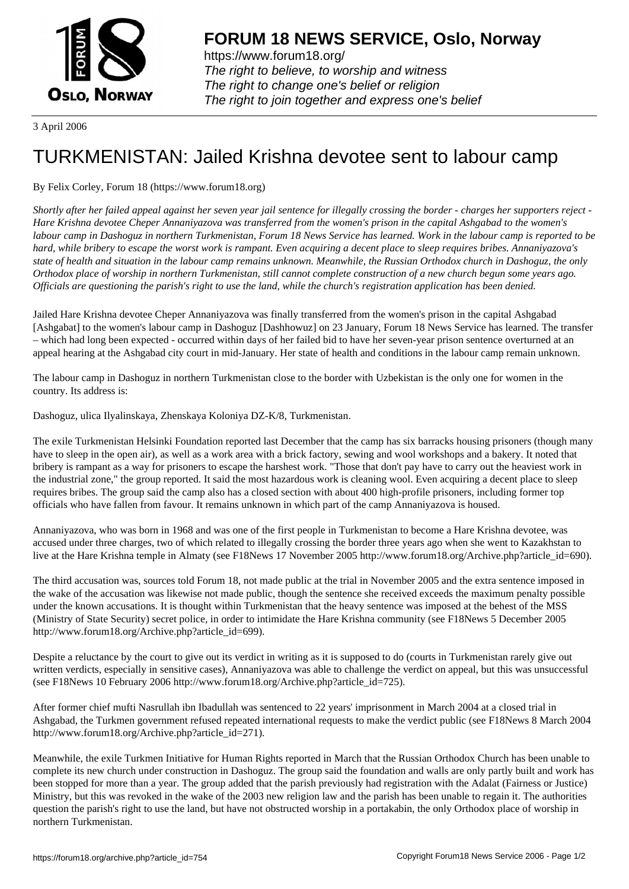

https://www.forum18.org/ The right to believe, to worship and witness The right to change one's belief or religion [The right to join together a](https://www.forum18.org/)nd express one's belief

3 April 2006

## [TURKMENISTA](https://www.forum18.org)N: Jailed Krishna devotee sent to labour camp

## By Felix Corley, Forum 18 (https://www.forum18.org)

*Shortly after her failed appeal against her seven year jail sentence for illegally crossing the border - charges her supporters reject - Hare Krishna devotee Cheper Annaniyazova was transferred from the women's prison in the capital Ashgabad to the women's labour camp in Dashoguz in northern Turkmenistan, Forum 18 News Service has learned. Work in the labour camp is reported to be hard, while bribery to escape the worst work is rampant. Even acquiring a decent place to sleep requires bribes. Annaniyazova's state of health and situation in the labour camp remains unknown. Meanwhile, the Russian Orthodox church in Dashoguz, the only Orthodox place of worship in northern Turkmenistan, still cannot complete construction of a new church begun some years ago. Officials are questioning the parish's right to use the land, while the church's registration application has been denied.*

Jailed Hare Krishna devotee Cheper Annaniyazova was finally transferred from the women's prison in the capital Ashgabad [Ashgabat] to the women's labour camp in Dashoguz [Dashhowuz] on 23 January, Forum 18 News Service has learned. The transfer – which had long been expected - occurred within days of her failed bid to have her seven-year prison sentence overturned at an appeal hearing at the Ashgabad city court in mid-January. Her state of health and conditions in the labour camp remain unknown.

The labour camp in Dashoguz in northern Turkmenistan close to the border with Uzbekistan is the only one for women in the country. Its address is:

Dashoguz, ulica Ilyalinskaya, Zhenskaya Koloniya DZ-K/8, Turkmenistan.

The exile Turkmenistan Helsinki Foundation reported last December that the camp has six barracks housing prisoners (though many have to sleep in the open air), as well as a work area with a brick factory, sewing and wool workshops and a bakery. It noted that bribery is rampant as a way for prisoners to escape the harshest work. "Those that don't pay have to carry out the heaviest work in the industrial zone," the group reported. It said the most hazardous work is cleaning wool. Even acquiring a decent place to sleep requires bribes. The group said the camp also has a closed section with about 400 high-profile prisoners, including former top officials who have fallen from favour. It remains unknown in which part of the camp Annaniyazova is housed.

Annaniyazova, who was born in 1968 and was one of the first people in Turkmenistan to become a Hare Krishna devotee, was accused under three charges, two of which related to illegally crossing the border three years ago when she went to Kazakhstan to live at the Hare Krishna temple in Almaty (see F18News 17 November 2005 http://www.forum18.org/Archive.php?article\_id=690).

The third accusation was, sources told Forum 18, not made public at the trial in November 2005 and the extra sentence imposed in the wake of the accusation was likewise not made public, though the sentence she received exceeds the maximum penalty possible under the known accusations. It is thought within Turkmenistan that the heavy sentence was imposed at the behest of the MSS (Ministry of State Security) secret police, in order to intimidate the Hare Krishna community (see F18News 5 December 2005 http://www.forum18.org/Archive.php?article\_id=699).

Despite a reluctance by the court to give out its verdict in writing as it is supposed to do (courts in Turkmenistan rarely give out written verdicts, especially in sensitive cases), Annaniyazova was able to challenge the verdict on appeal, but this was unsuccessful (see F18News 10 February 2006 http://www.forum18.org/Archive.php?article\_id=725).

After former chief mufti Nasrullah ibn Ibadullah was sentenced to 22 years' imprisonment in March 2004 at a closed trial in Ashgabad, the Turkmen government refused repeated international requests to make the verdict public (see F18News 8 March 2004 http://www.forum18.org/Archive.php?article\_id=271).

Meanwhile, the exile Turkmen Initiative for Human Rights reported in March that the Russian Orthodox Church has been unable to complete its new church under construction in Dashoguz. The group said the foundation and walls are only partly built and work has been stopped for more than a year. The group added that the parish previously had registration with the Adalat (Fairness or Justice) Ministry, but this was revoked in the wake of the 2003 new religion law and the parish has been unable to regain it. The authorities question the parish's right to use the land, but have not obstructed worship in a portakabin, the only Orthodox place of worship in northern Turkmenistan.